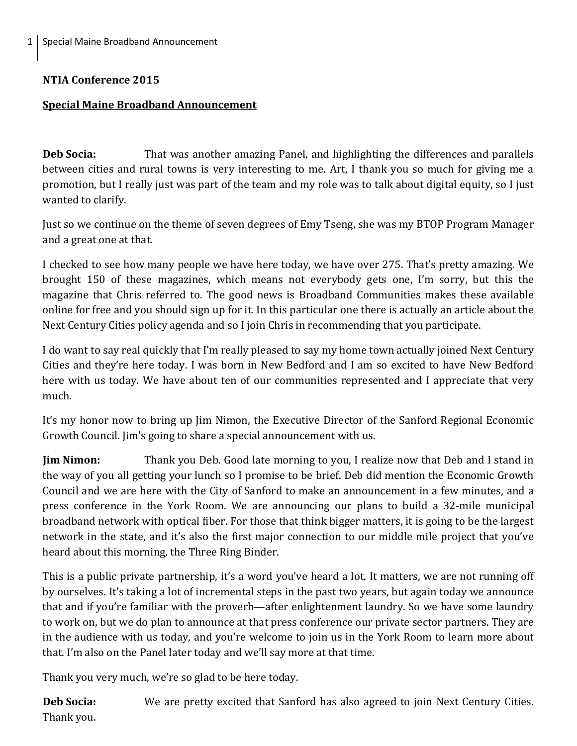## **NTIA Conference 2015**

## **Special Maine Broadband Announcement**

**Deb Socia:** That was another amazing Panel, and highlighting the differences and parallels between cities and rural towns is very interesting to me. Art, I thank you so much for giving me a promotion, but I really just was part of the team and my role was to talk about digital equity, so I just wanted to clarify.

Just so we continue on the theme of seven degrees of Emy Tseng, she was my BTOP Program Manager and a great one at that.

I checked to see how many people we have here today, we have over 275. That's pretty amazing. We brought 150 of these magazines, which means not everybody gets one, I'm sorry, but this the magazine that Chris referred to. The good news is Broadband Communities makes these available online for free and you should sign up for it. In this particular one there is actually an article about the Next Century Cities policy agenda and so I join Chris in recommending that you participate.

I do want to say real quickly that I'm really pleased to say my home town actually joined Next Century Cities and they're here today. I was born in New Bedford and I am so excited to have New Bedford here with us today. We have about ten of our communities represented and I appreciate that very much.

It's my honor now to bring up Jim Nimon, the Executive Director of the Sanford Regional Economic Growth Council. Jim's going to share a special announcement with us.

**Jim Nimon:** Thank you Deb. Good late morning to you, I realize now that Deb and I stand in the way of you all getting your lunch so I promise to be brief. Deb did mention the Economic Growth Council and we are here with the City of Sanford to make an announcement in a few minutes, and a press conference in the York Room. We are announcing our plans to build a 32-mile municipal broadband network with optical fiber. For those that think bigger matters, it is going to be the largest network in the state, and it's also the first major connection to our middle mile project that you've heard about this morning, the Three Ring Binder.

This is a public private partnership, it's a word you've heard a lot. It matters, we are not running off by ourselves. It's taking a lot of incremental steps in the past two years, but again today we announce that and if you're familiar with the proverb—after enlightenment laundry. So we have some laundry to work on, but we do plan to announce at that press conference our private sector partners. They are in the audience with us today, and you're welcome to join us in the York Room to learn more about that. I'm also on the Panel later today and we'll say more at that time.

Thank you very much, we're so glad to be here today.

**Deb Socia:** We are pretty excited that Sanford has also agreed to join Next Century Cities. Thank you.